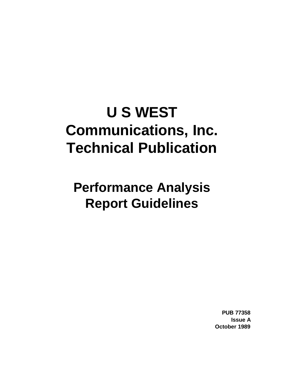# **U S WEST Communications, Inc. Technical Publication**

# **Performance Analysis Report Guidelines**

**PUB 77358 Issue A October 1989**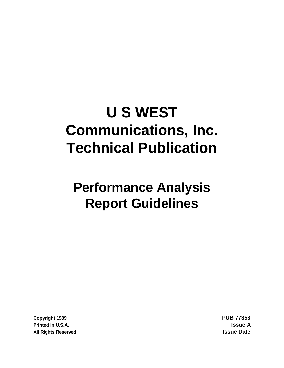# **U S WEST Communications, Inc. Technical Publication**

# **Performance Analysis Report Guidelines**

**Copyright 1989 PUB 77358 Printed in U.S.A. Issue A All Rights Reserved Issue Date**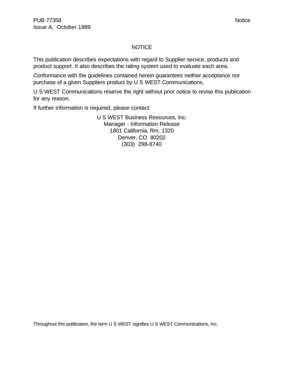### **NOTICE**

This publication describes expectations with regard to Supplier service, products and product support. It also describes the rating system used to evaluate each area.

Conformance with the guidelines contained herein guarantees neither acceptance nor purchase of a given Suppliers product by U S WEST Communications.

U S WEST Communications reserve the right without prior notice to revise this publication for any reason.

If further information is required, please contact:

U S WEST Business Resources, Inc. Manager - Information Release 1801 California, Rm. 1320 Denver, CO 80202 (303) 298-8740

Throughout this publication, the term U S WEST signifies U S WEST Communications, Inc.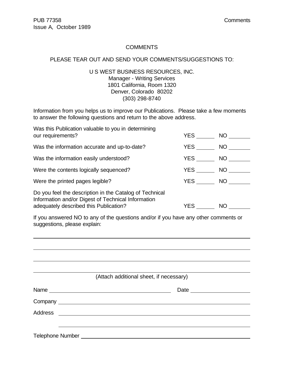#### **COMMENTS**

#### PLEASE TEAR OUT AND SEND YOUR COMMENTS/SUGGESTIONS TO:

#### U S WEST BUSINESS RESOURCES, INC. Manager - Writing Services 1801 California, Room 1320 Denver, Colorado 80202 (303) 298-8740

Information from you helps us to improve our Publications. Please take a few moments to answer the following questions and return to the above address.

| Was this Publication valuable to you in determining<br>our requirements?                                                                                | <b>YES</b> | NO  |
|---------------------------------------------------------------------------------------------------------------------------------------------------------|------------|-----|
| Was the information accurate and up-to-date?                                                                                                            | YES        | NO. |
| Was the information easily understood?                                                                                                                  | YES        | NO. |
| Were the contents logically sequenced?                                                                                                                  | YES        | NO. |
| Were the printed pages legible?                                                                                                                         | YES        | NO. |
| Do you feel the description in the Catalog of Technical<br>Information and/or Digest of Technical Information<br>adequately described this Publication? | YES        | NO  |
|                                                                                                                                                         |            |     |

If you answered NO to any of the questions and/or if you have any other comments or suggestions, please explain:

|                                                          | (Attach additional sheet, if necessary) |
|----------------------------------------------------------|-----------------------------------------|
|                                                          |                                         |
|                                                          |                                         |
|                                                          |                                         |
|                                                          |                                         |
| <b>Telephone Number Exercísion Exercísion Exercísion</b> |                                         |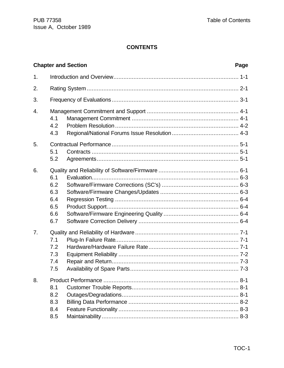# **CONTENTS**

|                | <b>Chapter and Section</b><br>Page            |  |  |
|----------------|-----------------------------------------------|--|--|
| 1.             |                                               |  |  |
| 2.             |                                               |  |  |
| 3.             |                                               |  |  |
| 4.             | 4.1<br>4.2<br>4.3                             |  |  |
| 5.             | 5.1<br>5.2                                    |  |  |
| 6.             | 6.1<br>6.2<br>6.3<br>6.4<br>6.5<br>6.6<br>6.7 |  |  |
| 7 <sub>1</sub> | 7.1<br>7.2<br>7.3<br>7.4<br>7.5               |  |  |
| 8.             | 8.1<br>8.2<br>8.3<br>8.4<br>8.5               |  |  |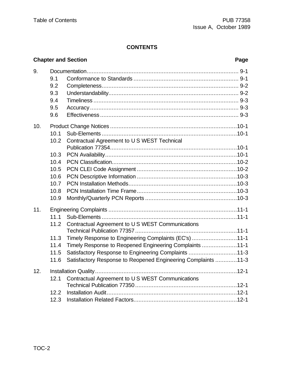# **CONTENTS**

# **Chapter and Section Page**

| 9.  |      |                                                               |  |
|-----|------|---------------------------------------------------------------|--|
|     | 9.1  |                                                               |  |
|     | 9.2  |                                                               |  |
|     | 9.3  |                                                               |  |
|     | 9.4  |                                                               |  |
|     | 9.5  |                                                               |  |
|     | 9.6  |                                                               |  |
| 10. |      |                                                               |  |
|     | 10.1 |                                                               |  |
|     | 10.2 | Contractual Agreement to U S WEST Technical                   |  |
|     |      |                                                               |  |
|     | 10.3 |                                                               |  |
|     | 10.4 |                                                               |  |
|     | 10.5 |                                                               |  |
|     | 10.6 |                                                               |  |
|     | 10.7 |                                                               |  |
|     | 10.8 |                                                               |  |
|     | 10.9 |                                                               |  |
| 11. |      |                                                               |  |
|     | 11.1 |                                                               |  |
|     | 11.2 | Contractual Agreement to U S WEST Communications              |  |
|     |      |                                                               |  |
|     | 11.3 | Timely Response to Engineering Complaints (EC's) 11-1         |  |
|     | 11.4 | Timely Response to Reopened Engineering Complaints 11-1       |  |
|     | 11.5 | Satisfactory Response to Engineering Complaints 11-3          |  |
|     | 11.6 | Satisfactory Response to Reopened Engineering Complaints 11-3 |  |
| 12. |      |                                                               |  |
|     | 12.1 | Contractual Agreement to U S WEST Communications              |  |
|     | 12.2 |                                                               |  |
|     | 12.3 |                                                               |  |
|     |      |                                                               |  |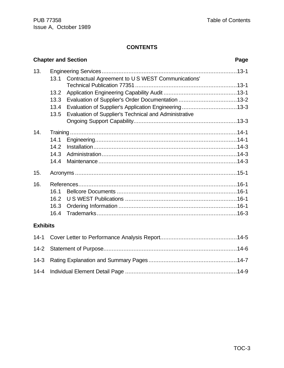# **CONTENTS**

|                 |      | <b>Chapter and Section</b>                            | Page |
|-----------------|------|-------------------------------------------------------|------|
| 13.             |      |                                                       |      |
|                 | 13.1 | Contractual Agreement to U S WEST Communications'     |      |
|                 |      |                                                       |      |
|                 | 13.2 |                                                       |      |
|                 | 13.3 |                                                       |      |
|                 | 13.4 | Evaluation of Supplier's Application Engineering13-3  |      |
|                 | 13.5 | Evaluation of Supplier's Technical and Administrative |      |
|                 |      |                                                       |      |
| 14.             |      |                                                       |      |
|                 | 14.1 |                                                       |      |
|                 | 14.2 |                                                       |      |
|                 | 14.3 |                                                       |      |
|                 | 14.4 |                                                       |      |
| 15.             |      |                                                       |      |
| 16.             |      |                                                       |      |
|                 | 16.1 |                                                       |      |
|                 | 16.2 |                                                       |      |
|                 | 16.3 |                                                       |      |
|                 | 16.4 |                                                       |      |
| <b>Exhibits</b> |      |                                                       |      |
| $14 - 1$        |      |                                                       |      |
| $14 - 2$        |      |                                                       |      |
| $14-3$          |      |                                                       |      |

14-4 Individual Element Detail Page ...................................................................14-9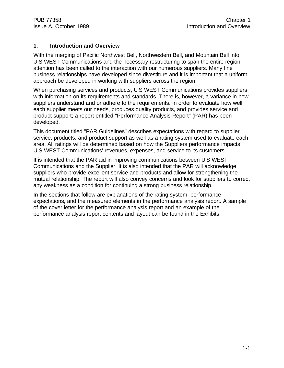### **1. Introduction and Overview**

With the merging of Pacific Northwest Bell, Northwestern Bell, and Mountain Bell into U S WEST Communications and the necessary restructuring to span the entire region, attention has been called to the interaction with our numerous suppliers. Many fine business relationships have developed since divestiture and it is important that a uniform approach be developed in working with suppliers across the region.

When purchasing services and products, U S WEST Communications provides suppliers with information on its requirements and standards. There is, however, a variance in how suppliers understand and or adhere to the requirements. In order to evaluate how well each supplier meets our needs, produces quality products, and provides service and product support; a report entitled "Performance Analysis Report" (PAR) has been developed.

This document titled "PAR Guidelines" describes expectations with regard to supplier service, products, and product support as well as a rating system used to evaluate each area. All ratings will be determined based on how the Suppliers performance impacts U S WEST Communications' revenues, expenses, and service to its customers.

It is intended that the PAR aid in improving communications between U S WEST Communications and the Supplier. It is also intended that the PAR will acknowledge suppliers who provide excellent service and products and allow for strengthening the mutual relationship. The report will also convey concerns and look for suppliers to correct any weakness as a condition for continuing a strong business relationship.

In the sections that follow are explanations of the rating system, performance expectations, and the measured elements in the performance analysis report. A sample of the cover letter for the performance analysis report and an example of the performance analysis report contents and layout can be found in the Exhibits.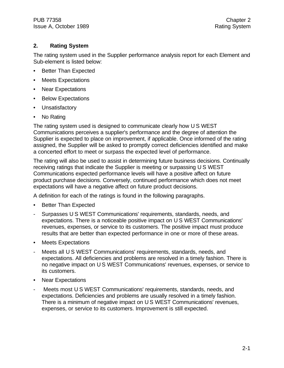# **2. Rating System**

The rating system used in the Supplier performance analysis report for each Element and Sub-element is listed below:

- Better Than Expected
- Meets Expectations
- Near Expectations
- Below Expectations
- Unsatisfactory
- No Rating

The rating system used is designed to communicate clearly how U S WEST Communications perceives a supplier's performance and the degree of attention the Supplier is expected to place on improvement, if applicable. Once informed of the rating assigned, the Supplier will be asked to promptly correct deficiencies identified and make a concerted effort to meet or surpass the expected level of performance.

The rating will also be used to assist in determining future business decisions. Continually receiving ratings that indicate the Supplier is meeting or surpassing U S WEST Communications expected performance levels will have a positive affect on future product purchase decisions. Conversely, continued performance which does not meet expectations will have a negative affect on future product decisions.

A definition for each of the ratings is found in the following paragraphs.

- Better Than Expected
- Surpasses U S WEST Communications' requirements, standards, needs, and expectations. There is a noticeable positive impact on U S WEST Communications' revenues, expenses, or service to its customers. The positive impact must produce results that are better than expected performance in one or more of these areas.
- Meets Expectations
- Meets all U S WEST Communications' requirements, standards, needs, and expectations. All deficiencies and problems are resolved in a timely fashion. There is no negative impact on U S WEST Communications' revenues, expenses, or service to its customers.
- Near Expectations
- Meets most U S WEST Communications' requirements, standards, needs, and expectations. Deficiencies and problems are usually resolved in a timely fashion. There is a minimum of negative impact on U S WEST Communications' revenues, expenses, or service to its customers. Improvement is still expected.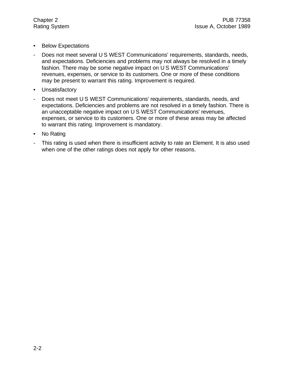- Below Expectations
- Does not meet several U S WEST Communications' requirements, standards, needs, and expectations. Deficiencies and problems may not always be resolved in a timely fashion. There may be some negative impact on U S WEST Communications' revenues, expenses, or service to its customers. One or more of these conditions may be present to warrant this rating. Improvement is required.
- Unsatisfactory
- Does not meet U S WEST Communications' requirements, standards, needs, and expectations. Deficiencies and problems are not resolved in a timely fashion. There is an unacceptable negative impact on U S WEST Communications' revenues, expenses, or service to its customers. One or more of these areas may be affected to warrant this rating. Improvement is mandatory.
- No Rating
- This rating is used when there is insufficient activity to rate an Element. It is also used when one of the other ratings does not apply for other reasons.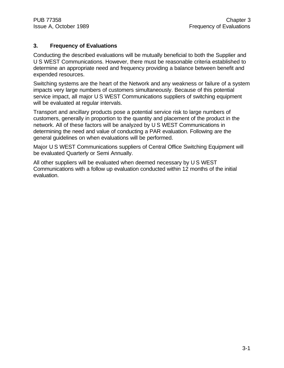# **3. Frequency of Evaluations**

Conducting the described evaluations will be mutually beneficial to both the Supplier and U S WEST Communications. However, there must be reasonable criteria established to determine an appropriate need and frequency providing a balance between benefit and expended resources.

Switching systems are the heart of the Network and any weakness or failure of a system impacts very large numbers of customers simultaneously. Because of this potential service impact, all major U S WEST Communications suppliers of switching equipment will be evaluated at regular intervals.

Transport and ancillary products pose a potential service risk to large numbers of customers, generally in proportion to the quantity and placement of the product in the network. All of these factors will be analyzed by U S WEST Communications in determining the need and value of conducting a PAR evaluation. Following are the general guidelines on when evaluations will be performed.

Major U S WEST Communications suppliers of Central Office Switching Equipment will be evaluated Quarterly or Semi Annually.

All other suppliers will be evaluated when deemed necessary by U S WEST Communications with a follow up evaluation conducted within 12 months of the initial evaluation.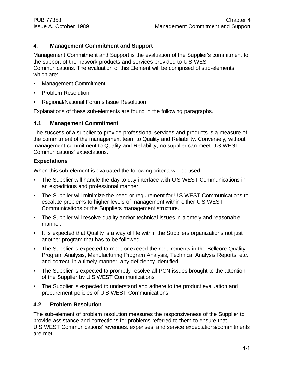# **4. Management Commitment and Support**

Management Commitment and Support is the evaluation of the Supplier's commitment to the support of the network products and services provided to U S WEST Communications. The evaluation of this Element will be comprised of sub-elements, which are:

- Management Commitment
- Problem Resolution
- Regional/National Forums Issue Resolution

Explanations of these sub-elements are found in the following paragraphs.

#### **4.1 Management Commitment**

The success of a supplier to provide professional services and products is a measure of the commitment of the management team to Quality and Reliability. Conversely, without management commitment to Quality and Reliability, no supplier can meet U S WEST Communications' expectations.

#### **Expectations**

When this sub-element is evaluated the following criteria will be used:

- The Supplier will handle the day to day interface with U S WEST Communications in an expeditious and professional manner.
- The Supplier will minimize the need or requirement for U S WEST Communications to escalate problems to higher levels of management within either U S WEST Communications or the Suppliers management structure.
- The Supplier will resolve quality and/or technical issues in a timely and reasonable manner.
- It is expected that Quality is a way of life within the Suppliers organizations not just another program that has to be followed.
- The Supplier is expected to meet or exceed the requirements in the Bellcore Quality Program Analysis, Manufacturing Program Analysis, Technical Analysis Reports, etc. and correct, in a timely manner, any deficiency identified.
- The Supplier is expected to promptly resolve all PCN issues brought to the attention of the Supplier by U S WEST Communications.
- The Supplier is expected to understand and adhere to the product evaluation and procurement policies of U S WEST Communications.

#### **4.2 Problem Resolution**

The sub-element of problem resolution measures the responsiveness of the Supplier to provide assistance and corrections for problems referred to them to ensure that U S WEST Communications' revenues, expenses, and service expectations/commitments are met.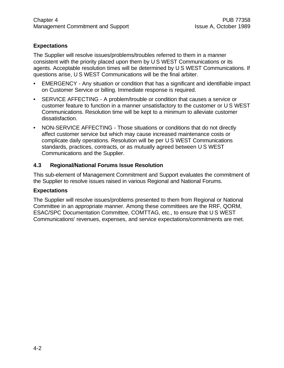# **Expectations**

The Supplier will resolve issues/problems/troubles referred to them in a manner consistent with the priority placed upon them by U S WEST Communications or its agents. Acceptable resolution times will be determined by U S WEST Communications. If questions arise, U S WEST Communications will be the final arbiter.

- EMERGENCY Any situation or condition that has a significant and identifiable impact on Customer Service or billing. Immediate response is required.
- SERVICE AFFECTING A problem/trouble or condition that causes a service or customer feature to function in a manner unsatisfactory to the customer or U S WEST Communications. Resolution time will be kept to a minimum to alleviate customer dissatisfaction.
- NON-SERVICE AFFECTING Those situations or conditions that do not directly affect customer service but which may cause increased maintenance costs or complicate daily operations. Resolution will be per U S WEST Communications standards, practices, contracts, or as mutually agreed between U S WEST Communications and the Supplier.

# **4.3 Regional/National Forums Issue Resolution**

This sub-element of Management Commitment and Support evaluates the commitment of the Supplier to resolve issues raised in various Regional and National Forums.

#### **Expectations**

The Supplier will resolve issues/problems presented to them from Regional or National Committee in an appropriate manner. Among these committees are the RRF, QORM, ESAC/SPC Documentation Committee, COMTTAG, etc., to ensure that U S WEST Communications' revenues, expenses, and service expectations/commitments are met.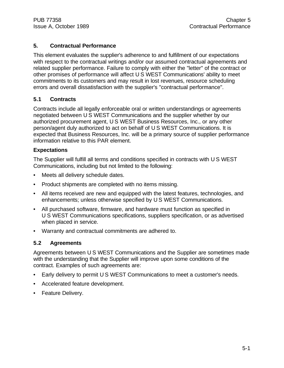# **5. Contractual Performance**

This element evaluates the supplier's adherence to and fulfillment of our expectations with respect to the contractual writings and/or our assumed contractual agreements and related supplier performance. Failure to comply with either the "letter" of the contract or other promises of performance will affect U S WEST Communications' ability to meet commitments to its customers and may result in lost revenues, resource scheduling errors and overall dissatisfaction with the supplier's "contractual performance".

# **5.1 Contracts**

Contracts include all legally enforceable oral or written understandings or agreements negotiated between U S WEST Communications and the supplier whether by our authorized procurement agent, U S WEST Business Resources, Inc., or any other person/agent duly authorized to act on behalf of U S WEST Communications. It is expected that Business Resources, Inc. will be a primary source of supplier performance information relative to this PAR element.

# **Expectations**

The Supplier will fulfill all terms and conditions specified in contracts with U S WEST Communications, including but not limited to the following:

- Meets all delivery schedule dates.
- Product shipments are completed with no items missing.
- All items received are new and equipped with the latest features, technologies, and enhancements; unless otherwise specified by U S WEST Communications.
- All purchased software, firmware, and hardware must function as specified in U S WEST Communications specifications, suppliers specification, or as advertised when placed in service.
- Warranty and contractual commitments are adhered to.

# **5.2 Agreements**

Agreements between U S WEST Communications and the Supplier are sometimes made with the understanding that the Supplier will improve upon some conditions of the contract. Examples of such agreements are:

- Early delivery to permit U S WEST Communications to meet a customer's needs.
- Accelerated feature development.
- Feature Delivery.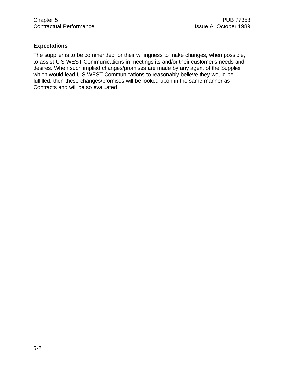# **Expectations**

The supplier is to be commended for their willingness to make changes, when possible, to assist U S WEST Communications in meetings its and/or their customer's needs and desires. When such implied changes/promises are made by any agent of the Supplier which would lead U S WEST Communications to reasonably believe they would be fulfilled, then these changes/promises will be looked upon in the same manner as Contracts and will be so evaluated.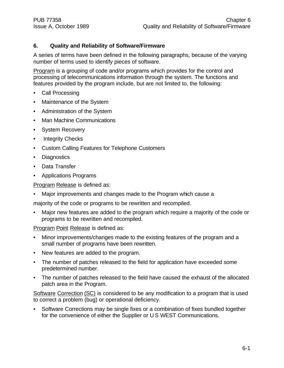# **6. Quality and Reliability of Software/Firmware**

A series of terms have been defined in the following paragraphs, because of the varying number of terms used to identify pieces of software.

Program is a grouping of code and/or programs which provides for the control and processing of telecommunications information through the system. The functions and features provided by the program include, but are not limited to, the following:

- Call Processing
- Maintenance of the System
- Administration of the System
- Man Machine Communications
- System Recovery
- Integrity Checks
- Custom Calling Features for Telephone Customers
- Diagnostics
- Data Transfer
- Applications Programs

Program Release is defined as:

• Major improvements and changes made to the Program which cause a

majority of the code or programs to be rewritten and recompiled.

• Major new features are added to the program which require a majority of the code or programs to be rewritten and recompiled.

Program Point Release is defined as:

- Minor improvements/changes made to the existing features of the program and a small number of programs have been rewritten.
- New features are added to the program.
- The number of patches released to the field for application have exceeded some predetermined number.
- The number of patches released to the field have caused the exhaust of the allocated patch area in the Program.

Software Correction (SC) is considered to be any modification to a program that is used to correct a problem (bug) or operational deficiency.

• Software Corrections may be single fixes or a combination of fixes bundled together for the convenience of either the Supplier or U S WEST Communications.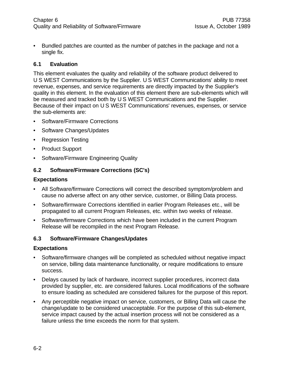• Bundled patches are counted as the number of patches in the package and not a single fix.

### **6.1 Evaluation**

This element evaluates the quality and reliability of the software product delivered to U S WEST Communications by the Supplier. U S WEST Communications' ability to meet revenue, expenses, and service requirements are directly impacted by the Supplier's quality in this element. In the evaluation of this element there are sub-elements which will be measured and tracked both by U S WEST Communications and the Supplier. Because of their impact on U S WEST Communications' revenues, expenses, or service the sub-elements are:

- Software/Firmware Corrections
- Software Changes/Updates
- Regression Testing
- Product Support
- Software/Firmware Engineering Quality

# **6.2 Software/Firmware Corrections (SC's)**

#### **Expectations**

- All Software/firmware Corrections will correct the described symptom/problem and cause no adverse affect on any other service, customer, or Billing Data process.
- Software/firmware Corrections identified in earlier Program Releases etc., will be propagated to all current Program Releases, etc. within two weeks of release.
- Software/firmware Corrections which have been included in the current Program Release will be recompiled in the next Program Release.

#### **6.3 Software/Firmware Changes/Updates**

#### **Expectations**

- Software/firmware changes will be completed as scheduled without negative impact on service, billing data maintenance functionality, or require modifications to ensure success.
- Delays caused by lack of hardware, incorrect supplier procedures, incorrect data provided by supplier, etc. are considered failures. Local modifications of the software to ensure loading as scheduled are considered failures for the purpose of this report.
- Any perceptible negative impact on service, customers, or Billing Data will cause the change/update to be considered unacceptable. For the purpose of this sub-element, service impact caused by the actual insertion process will not be considered as a failure unless the time exceeds the norm for that system.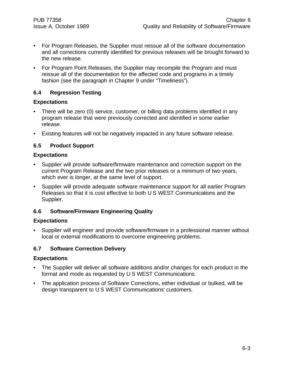- For Program Releases, the Supplier must reissue all of the software documentation and all corrections currently identified for previous releases will be brought forward to the new release.
- For Program Point Releases, the Supplier may recompile the Program and must reissue all of the documentation for the affected code and programs in a timely fashion (see the paragraph in Chapter 9 under "Timeliness").

### **6.4 Regression Testing**

#### **Expectations**

- There will be zero (0) service, customer, or billing data problems identified in any program release that were previously corrected and identified in some earlier release.
- Existing features will not be negatively impacted in any future software release.

### **6.5 Product Support**

#### **Expectations**

- Supplier will provide software/firmware maintenance and correction support on the current Program Release and the two prior releases or a minimum of two years, which ever is longer, at the same level of support.
- Supplier will provide adequate software maintenance support for all earlier Program Releases so that it is cost effective to both U S WEST Communications and the Supplier.

#### **6.6 Software/Firmware Engineering Quality**

#### **Expectations**

• Supplier will engineer and provide software/firmware in a professional manner without local or external modifications to overcome engineering problems.

#### **6.7 Software Correction Delivery**

#### **Expectations**

- The Supplier will deliver all software additions and/or changes for each product in the format and mode as requested by U S WEST Communications.
- The application process of Software Corrections, either individual or bulked, will be design transparent to U S WEST Communications' customers.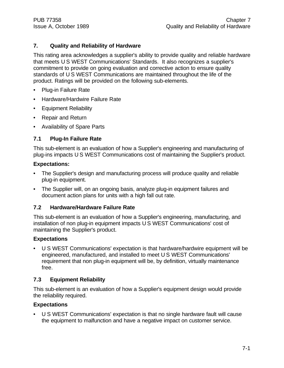# **7. Quality and Reliability of Hardware**

This rating area acknowledges a supplier's ability to provide quality and reliable hardware that meets U S WEST Communications' Standards. It also recognizes a supplier's commitment to provide on going evaluation and corrective action to ensure quality standards of U S WEST Communications are maintained throughout the life of the product. Ratings will be provided on the following sub-elements.

- Plug-in Failure Rate
- Hardware/Hardwire Failure Rate
- Equipment Reliability
- Repair and Return
- Availability of Spare Parts

### **7.1 Plug-In Failure Rate**

This sub-element is an evaluation of how a Supplier's engineering and manufacturing of plug-ins impacts U S WEST Communications cost of maintaining the Supplier's product.

### **Expectations:**

- The Supplier's design and manufacturing process will produce quality and reliable plug-in equipment.
- The Supplier will, on an ongoing basis, analyze plug-in equipment failures and document action plans for units with a high fall out rate.

#### **7.2 Hardware/Hardware Failure Rate**

This sub-element is an evaluation of how a Supplier's engineering, manufacturing, and installation of non plug-in equipment impacts U S WEST Communications' cost of maintaining the Supplier's product.

#### **Expectations**

• U S WEST Communications' expectation is that hardware/hardwire equipment will be engineered, manufactured, and installed to meet U S WEST Communications' requirement that non plug-in equipment will be, by definition, virtually maintenance free.

# **7.3 Equipment Reliability**

This sub-element is an evaluation of how a Supplier's equipment design would provide the reliability required.

#### **Expectations**

• U S WEST Communications' expectation is that no single hardware fault will cause the equipment to malfunction and have a negative impact on customer service.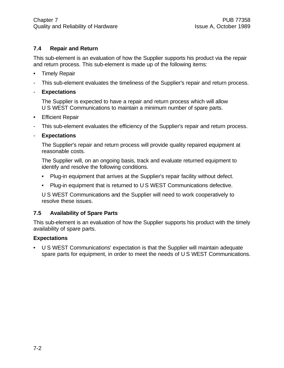# **7.4 Repair and Return**

This sub-element is an evaluation of how the Supplier supports his product via the repair and return process. This sub-element is made up of the following items:

- Timely Repair
- This sub-element evaluates the timeliness of the Supplier's repair and return process.
- **Expectations**

The Supplier is expected to have a repair and return process which will allow U S WEST Communications to maintain a minimum number of spare parts.

- Efficient Repair
- This sub-element evaluates the efficiency of the Supplier's repair and return process.
- **Expectations**

The Supplier's repair and return process will provide quality repaired equipment at reasonable costs.

The Supplier will, on an ongoing basis, track and evaluate returned equipment to identify and resolve the following conditions.

- Plug-in equipment that arrives at the Supplier's repair facility without defect.
- Plug-in equipment that is returned to U S WEST Communications defective.

U S WEST Communications and the Supplier will need to work cooperatively to resolve these issues.

# **7.5 Availability of Spare Parts**

This sub-element is an evaluation of how the Supplier supports his product with the timely availability of spare parts.

# **Expectations**

• U S WEST Communications' expectation is that the Supplier will maintain adequate spare parts for equipment, in order to meet the needs of U S WEST Communications.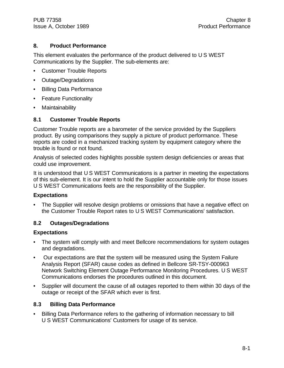# **8. Product Performance**

This element evaluates the performance of the product delivered to U S WEST Communications by the Supplier. The sub-elements are:

- Customer Trouble Reports
- Outage/Degradations
- Billing Data Performance
- Feature Functionality
- Maintainability

# **8.1 Customer Trouble Reports**

Customer Trouble reports are a barometer of the service provided by the Suppliers product. By using comparisons they supply a picture of product performance. These reports are coded in a mechanized tracking system by equipment category where the trouble is found or not found.

Analysis of selected codes highlights possible system design deficiencies or areas that could use improvement.

It is understood that U S WEST Communications is a partner in meeting the expectations of this sub-element. It is our intent to hold the Supplier accountable only for those issues U S WEST Communications feels are the responsibility of the Supplier.

# **Expectations**

• The Supplier will resolve design problems or omissions that have a negative effect on the Customer Trouble Report rates to U S WEST Communications' satisfaction.

# **8.2 Outages/Degradations**

# **Expectations**

- The system will comply with and meet Bellcore recommendations for system outages and degradations.
- Our expectations are that the system will be measured using the System Failure Analysis Report (SFAR) cause codes as defined in Bellcore SR-TSY-000963 Network Switching Element Outage Performance Monitoring Procedures. U S WEST Communications endorses the procedures outlined in this document.
- Supplier will document the cause of all outages reported to them within 30 days of the outage or receipt of the SFAR which ever is first.

# **8.3 Billing Data Performance**

• Billing Data Performance refers to the gathering of information necessary to bill U S WEST Communications' Customers for usage of its service.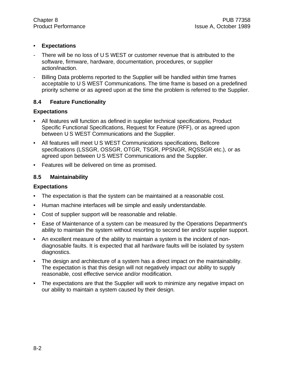# • **Expectations**

- There will be no loss of U S WEST or customer revenue that is attributed to the software, firmware, hardware, documentation, procedures, or supplier action/inaction.
- Billing Data problems reported to the Supplier will be handled within time frames acceptable to U S WEST Communications. The time frame is based on a predefined priority scheme or as agreed upon at the time the problem is referred to the Supplier.

# **8.4 Feature Functionality**

### **Expectations**

- All features will function as defined in supplier technical specifications, Product Specific Functional Specifications, Request for Feature (RFF), or as agreed upon between U S WEST Communications and the Supplier.
- All features will meet U S WEST Communications specifications, Bellcore specifications (LSSGR, OSSGR, OTGR, TSGR, PPSNGR, RQSSGR etc.), or as agreed upon between U S WEST Communications and the Supplier.
- Features will be delivered on time as promised.

### **8.5 Maintainability**

#### **Expectations**

- The expectation is that the system can be maintained at a reasonable cost.
- Human machine interfaces will be simple and easily understandable.
- Cost of supplier support will be reasonable and reliable.
- Ease of Maintenance of a system can be measured by the Operations Department's ability to maintain the system without resorting to second tier and/or supplier support.
- An excellent measure of the ability to maintain a system is the incident of nondiagnosable faults. It is expected that all hardware faults will be isolated by system diagnostics.
- The design and architecture of a system has a direct impact on the maintainability. The expectation is that this design will not negatively impact our ability to supply reasonable, cost effective service and/or modification.
- The expectations are that the Supplier will work to minimize any negative impact on our ability to maintain a system caused by their design.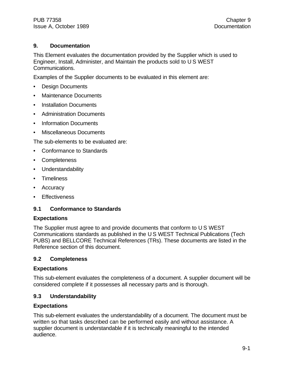# **9. Documentation**

This Element evaluates the documentation provided by the Supplier which is used to Engineer, Install, Administer, and Maintain the products sold to U S WEST Communications.

Examples of the Supplier documents to be evaluated in this element are:

- Design Documents
- Maintenance Documents
- Installation Documents
- Administration Documents
- Information Documents
- Miscellaneous Documents

The sub-elements to be evaluated are:

- Conformance to Standards
- Completeness
- Understandability
- Timeliness
- **Accuracy**
- Effectiveness

# **9.1 Conformance to Standards**

#### **Expectations**

The Supplier must agree to and provide documents that conform to U S WEST Communications standards as published in the U S WEST Technical Publications (Tech PUBS) and BELLCORE Technical References (TRs). These documents are listed in the Reference section of this document.

#### **9.2 Completeness**

#### **Expectations**

This sub-element evaluates the completeness of a document. A supplier document will be considered complete if it possesses all necessary parts and is thorough.

# **9.3 Understandability**

#### **Expectations**

This sub-element evaluates the understandability of a document. The document must be written so that tasks described can be performed easily and without assistance. A supplier document is understandable if it is technically meaningful to the intended audience.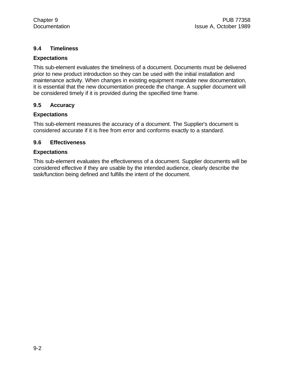### **9.4 Timeliness**

#### **Expectations**

This sub-element evaluates the timeliness of a document. Documents must be delivered prior to new product introduction so they can be used with the initial installation and maintenance activity. When changes in existing equipment mandate new documentation, it is essential that the new documentation precede the change. A supplier document will be considered timely if it is provided during the specified time frame.

### **9.5 Accuracy**

#### **Expectations**

This sub-element measures the accuracy of a document. The Supplier's document is considered accurate if it is free from error and conforms exactly to a standard.

### **9.6 Effectiveness**

#### **Expectations**

This sub-element evaluates the effectiveness of a document. Supplier documents will be considered effective if they are usable by the intended audience, clearly describe the task/function being defined and fulfills the intent of the document.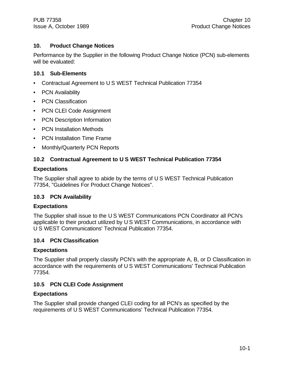# **10. Product Change Notices**

Performance by the Supplier in the following Product Change Notice (PCN) sub-elements will be evaluated:

# **10.1 Sub-Elements**

- Contractual Agreement to U S WEST Technical Publication 77354
- PCN Availability
- PCN Classification
- PCN CLEI Code Assignment
- PCN Description Information
- PCN Installation Methods
- PCN Installation Time Frame
- Monthly/Quarterly PCN Reports

# **10.2 Contractual Agreement to U S WEST Technical Publication 77354**

#### **Expectations**

The Supplier shall agree to abide by the terms of U S WEST Technical Publication 77354, "Guidelines For Product Change Notices".

#### **10.3 PCN Availability**

#### **Expectations**

The Supplier shall issue to the U S WEST Communications PCN Coordinator all PCN's applicable to their product utilized by U S WEST Communications, in accordance with U S WEST Communications' Technical Publication 77354.

#### **10.4 PCN Classification**

#### **Expectations**

The Supplier shall properly classify PCN's with the appropriate A, B, or D Classification in accordance with the requirements of U S WEST Communications' Technical Publication 77354.

# **10.5 PCN CLEI Code Assignment**

# **Expectations**

The Supplier shall provide changed CLEI coding for all PCN's as specified by the requirements of U S WEST Communications' Technical Publication 77354.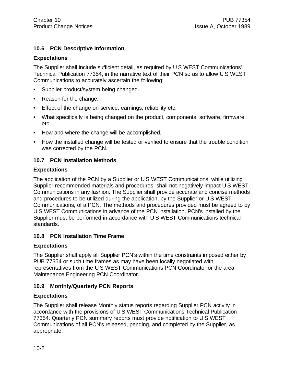# **10.6 PCN Descriptive Information**

#### **Expectations**

The Supplier shall include sufficient detail, as required by U S WEST Communications' Technical Publication 77354, in the narrative text of their PCN so as to allow U S WEST Communications to accurately ascertain the following:

- Supplier product/system being changed.
- Reason for the change.
- Effect of the change on service, earnings, reliability etc.
- What specifically is being changed on the product, components, software, firmware etc.
- How and where the change will be accomplished.
- How the installed change will be tested or verified to ensure that the trouble condition was corrected by the PCN.

### **10.7 PCN Installation Methods**

#### **Expectations**

The application of the PCN by a Supplier or U S WEST Communications, while utilizing Supplier recommended materials and procedures, shall not negatively impact U S WEST Communications in any fashion. The Supplier shall provide accurate and concise methods and procedures to be utilized during the application, by the Supplier or U S WEST Communications, of a PCN. The methods and procedures provided must be agreed to by U S WEST Communications in advance of the PCN installation. PCN's installed by the Supplier must be performed in accordance with U S WEST Communications technical standards.

#### **10.8 PCN Installation Time Frame**

#### **Expectations**

The Supplier shall apply all Supplier PCN's within the time constraints imposed either by PUB 77354 or such time frames as may have been locally negotiated with representatives from the U S WEST Communications PCN Coordinator or the area Maintenance Engineering PCN Coordinator.

# **10.9 Monthly/Quarterly PCN Reports**

#### **Expectations**

The Supplier shall release Monthly status reports regarding Supplier PCN activity in accordance with the provisions of U S WEST Communications Technical Publication 77354. Quarterly PCN summary reports must provide notification to U S WEST Communications of all PCN's released, pending, and completed by the Supplier, as appropriate.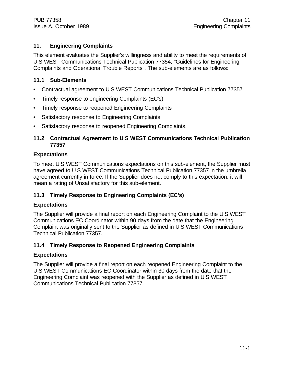# **11. Engineering Complaints**

This element evaluates the Supplier's willingness and ability to meet the requirements of U S WEST Communications Technical Publication 77354, "Guidelines for Engineering Complaints and Operational Trouble Reports". The sub-elements are as follows:

# **11.1 Sub-Elements**

- Contractual agreement to U S WEST Communications Technical Publication 77357
- Timely response to engineering Complaints (EC's)
- Timely response to reopened Engineering Complaints
- Satisfactory response to Engineering Complaints
- Satisfactory response to reopened Engineering Complaints.

# **11.2 Contractual Agreement to U S WEST Communications Technical Publication 77357**

# **Expectations**

To meet U S WEST Communications expectations on this sub-element, the Supplier must have agreed to U S WEST Communications Technical Publication 77357 in the umbrella agreement currently in force. If the Supplier does not comply to this expectation, it will mean a rating of Unsatisfactory for this sub-element.

# **11.3 Timely Response to Engineering Complaints (EC's)**

# **Expectations**

The Supplier will provide a final report on each Engineering Complaint to the U S WEST Communications EC Coordinator within 90 days from the date that the Engineering Complaint was originally sent to the Supplier as defined in U S WEST Communications Technical Publication 77357.

# **11.4 Timely Response to Reopened Engineering Complaints**

# **Expectations**

The Supplier will provide a final report on each reopened Engineering Complaint to the U S WEST Communications EC Coordinator within 30 days from the date that the Engineering Complaint was reopened with the Supplier as defined in U S WEST Communications Technical Publication 77357.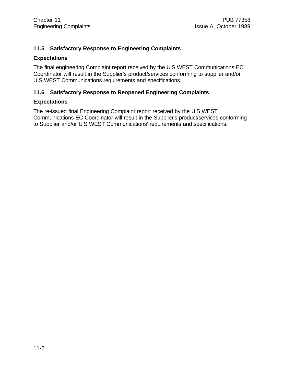# **11.5 Satisfactory Response to Engineering Complaints**

#### **Expectations**

The final engineering Complaint report received by the U S WEST Communications EC Coordinator will result in the Supplier's product/services conforming to supplier and/or U S WEST Communications requirements and specifications.

#### **11.6 Satisfactory Response to Reopened Engineering Complaints**

#### **Expectations**

The re-issued final Engineering Complaint report received by the U S WEST Communications EC Coordinator will result in the Supplier's product/services conforming to Supplier and/or U S WEST Communications' requirements and specifications.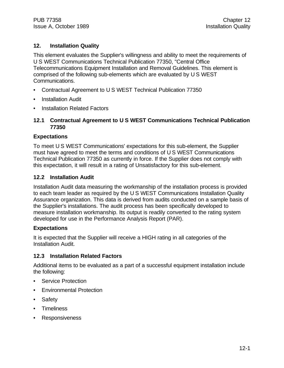# **12. Installation Quality**

This element evaluates the Supplier's willingness and ability to meet the requirements of U S WEST Communications Technical Publication 77350, "Central Office Telecommunications Equipment Installation and Removal Guidelines. This element is comprised of the following sub-elements which are evaluated by U S WEST Communications.

- Contractual Agreement to U S WEST Technical Publication 77350
- Installation Audit
- **Installation Related Factors**

#### **12.1 Contractual Agreement to U S WEST Communications Technical Publication 77350**

#### **Expectations**

To meet U S WEST Communications' expectations for this sub-element, the Supplier must have agreed to meet the terms and conditions of U S WEST Communications Technical Publication 77350 as currently in force. If the Supplier does not comply with this expectation, it will result in a rating of Unsatisfactory for this sub-element.

#### **12.2 Installation Audit**

Installation Audit data measuring the workmanship of the installation process is provided to each team leader as required by the U S WEST Communications Installation Quality Assurance organization. This data is derived from audits conducted on a sample basis of the Supplier's installations. The audit process has been specifically developed to measure installation workmanship. Its output is readily converted to the rating system developed for use in the Performance Analysis Report (PAR).

#### **Expectations**

It is expected that the Supplier will receive a HIGH rating in all categories of the Installation Audit.

#### **12.3 Installation Related Factors**

Additional items to be evaluated as a part of a successful equipment installation include the following:

- Service Protection
- Environmental Protection
- **Safety**
- Timeliness
- Responsiveness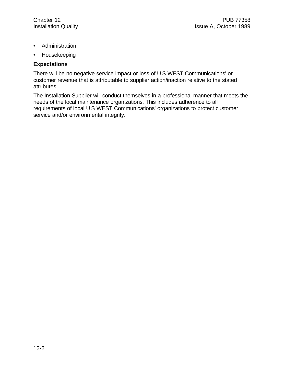- Administration
- Housekeeping

#### **Expectations**

There will be no negative service impact or loss of U S WEST Communications' or customer revenue that is attributable to supplier action/inaction relative to the stated attributes.

The Installation Supplier will conduct themselves in a professional manner that meets the needs of the local maintenance organizations. This includes adherence to all requirements of local U S WEST Communications' organizations to protect customer service and/or environmental integrity.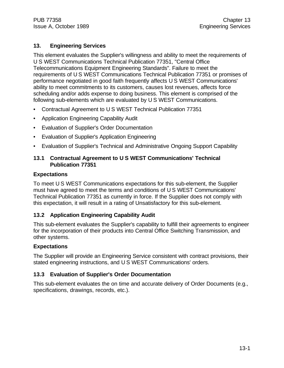# **13. Engineering Services**

This element evaluates the Supplier's willingness and ability to meet the requirements of U S WEST Communications Technical Publication 77351, "Central Office Telecommunications Equipment Engineering Standards". Failure to meet the requirements of U S WEST Communications Technical Publication 77351 or promises of performance negotiated in good faith frequently affects U S WEST Communications' ability to meet commitments to its customers, causes lost revenues, affects force scheduling and/or adds expense to doing business. This element is comprised of the following sub-elements which are evaluated by U S WEST Communications.

- Contractual Agreement to U S WEST Technical Publication 77351
- Application Engineering Capability Audit
- Evaluation of Supplier's Order Documentation
- Evaluation of Supplier's Application Engineering
- Evaluation of Supplier's Technical and Administrative Ongoing Support Capability

# **13.1 Contractual Agreement to U S WEST Communications' Technical Publication 77351**

#### **Expectations**

To meet U S WEST Communications expectations for this sub-element, the Supplier must have agreed to meet the terms and conditions of U S WEST Communications' Technical Publication 77351 as currently in force. If the Supplier does not comply with this expectation, it will result in a rating of Unsatisfactory for this sub-element.

#### **13.2 Application Engineering Capability Audit**

This sub-element evaluates the Supplier's capability to fulfill their agreements to engineer for the incorporation of their products into Central Office Switching Transmission, and other systems.

#### **Expectations**

The Supplier will provide an Engineering Service consistent with contract provisions, their stated engineering instructions, and U S WEST Communications' orders.

#### **13.3 Evaluation of Supplier's Order Documentation**

This sub-element evaluates the on time and accurate delivery of Order Documents (e.g., specifications, drawings, records, etc.).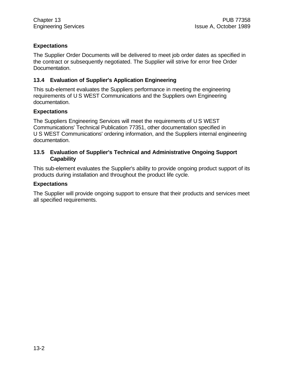# **Expectations**

The Supplier Order Documents will be delivered to meet job order dates as specified in the contract or subsequently negotiated. The Supplier will strive for error free Order Documentation.

# **13.4 Evaluation of Supplier's Application Engineering**

This sub-element evaluates the Suppliers performance in meeting the engineering requirements of U S WEST Communications and the Suppliers own Engineering documentation.

# **Expectations**

The Suppliers Engineering Services will meet the requirements of U S WEST Communications' Technical Publication 77351, other documentation specified in U S WEST Communications' ordering information, and the Suppliers internal engineering documentation.

### **13.5 Evaluation of Supplier's Technical and Administrative Ongoing Support Capability**

This sub-element evaluates the Supplier's ability to provide ongoing product support of its products during installation and throughout the product life cycle.

#### **Expectations**

The Supplier will provide ongoing support to ensure that their products and services meet all specified requirements.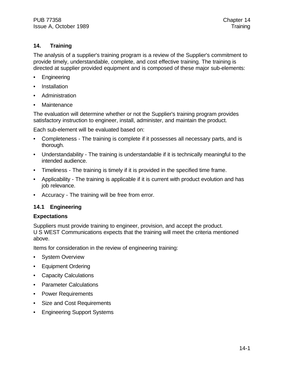# **14. Training**

The analysis of a supplier's training program is a review of the Supplier's commitment to provide timely, understandable, complete, and cost effective training. The training is directed at supplier provided equipment and is composed of these major sub-elements:

- **Engineering**
- **Installation**
- Administration
- **Maintenance**

The evaluation will determine whether or not the Supplier's training program provides satisfactory instruction to engineer, install, administer, and maintain the product.

Each sub-element will be evaluated based on:

- Completeness The training is complete if it possesses all necessary parts, and is thorough.
- Understandability The training is understandable if it is technically meaningful to the intended audience.
- Timeliness The training is timely if it is provided in the specified time frame.
- Applicability The training is applicable if it is current with product evolution and has job relevance.
- Accuracy The training will be free from error.

# **14.1 Engineering**

#### **Expectations**

Suppliers must provide training to engineer, provision, and accept the product. U S WEST Communications expects that the training will meet the criteria mentioned above.

Items for consideration in the review of engineering training:

- **System Overview**
- Equipment Ordering
- Capacity Calculations
- Parameter Calculations
- Power Requirements
- Size and Cost Requirements
- Engineering Support Systems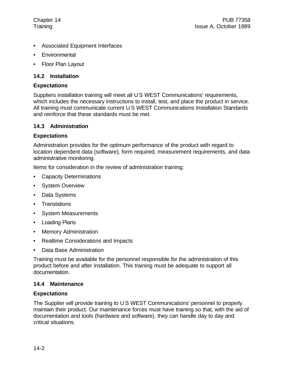- Associated Equipment Interfaces
- **Environmental**
- Floor Plan Layout

# **14.2 Installation**

# **Expectations**

Suppliers installation training will meet all U S WEST Communications' requirements, which includes the necessary instructions to install, test, and place the product in service. All training must communicate current U S WEST Communications Installation Standards and reinforce that these standards must be met.

# **14.3 Administration**

# **Expectations**

Administration provides for the optimum performance of the product with regard to location dependent data (software), form required, measurement requirements, and data administrative monitoring.

Items for consideration in the review of administration training:

- Capacity Determinations
- System Overview
- Data Systems
- Translations
- System Measurements
- Loading Plans
- Memory Administration
- Realtime Considerations and Impacts
- Data Base Administration

Training must be available for the personnel responsible for the administration of this product before and after installation. This training must be adequate to support all documentation.

# **14.4 Maintenance**

# **Expectations**

The Supplier will provide training to U S WEST Communications' personnel to properly maintain their product. Our maintenance forces must have training so that, with the aid of documentation and tools (hardware and software), they can handle day to day and critical situations.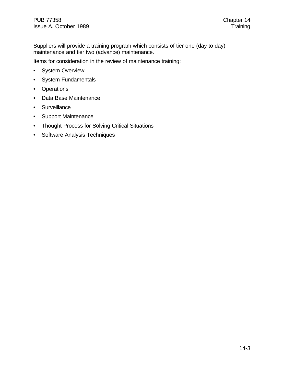Suppliers will provide a training program which consists of tier one (day to day) maintenance and tier two (advance) maintenance.

Items for consideration in the review of maintenance training:

- System Overview
- System Fundamentals
- Operations
- Data Base Maintenance
- Surveillance
- Support Maintenance
- Thought Process for Solving Critical Situations
- Software Analysis Techniques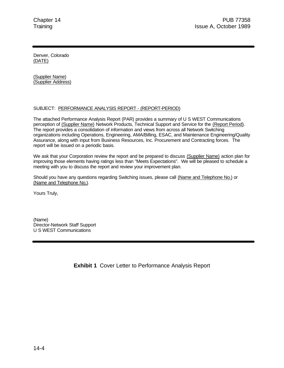Denver, Colorado (DATE)

(Supplier Name) (Supplier Address)

#### SUBJECT: PERFORMANCE ANALYSIS REPORT - (REPORT-PERIOD)

The attached Performance Analysis Report (PAR) provides a summary of U S WEST Communications perception of (Supplier Name) Network Products, Technical Support and Service for the (Report Period). The report provides a consolidation of information and views from across all Network Switching organizations including Operations, Engineering, AMA/Billing, ESAC, and Maintenance Engineering/Quality Assurance, along with input from Business Resources, Inc. Procurement and Contracting forces. The report will be issued on a periodic basis.

We ask that your Corporation review the report and be prepared to discuss (Supplier Name) action plan for improving those elements having ratings less than "Meets Expectations". We will be pleased to schedule a meeting with you to discuss the report and review your improvement plan.

Should you have any questions regarding Switching issues, please call (Name and Telephone No.) or (Name and Telephone No.).

Yours Truly,

(Name) Director-Network Staff Support U S WEST Communications

**Exhibit 1** Cover Letter to Performance Analysis Report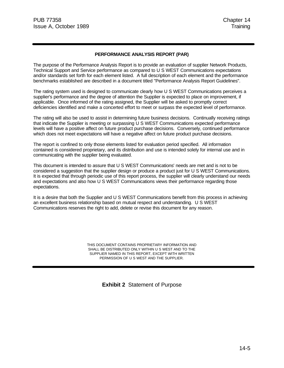#### **PERFORMANCE ANALYSIS REPORT (PAR)**

The purpose of the Performance Analysis Report is to provide an evaluation of supplier Network Products, Technical Support and Service performance as compared to U S WEST Communications expectations and/or standards set forth for each element listed. A full description of each element and the performance benchmarks established are described in a document titled "Performance Analysis Report Guidelines".

The rating system used is designed to communicate clearly how U S WEST Communications perceives a supplier's performance and the degree of attention the Supplier is expected to place on improvement, if applicable. Once informed of the rating assigned, the Supplier will be asked to promptly correct deficiencies identified and make a concerted effort to meet or surpass the expected level of performance.

The rating will also be used to assist in determining future business decisions. Continually receiving ratings that indicate the Supplier is meeting or surpassing U S WEST Communications expected performance levels will have a positive affect on future product purchase decisions. Conversely, continued performance which does not meet expectations will have a negative affect on future product purchase decisions.

The report is confined to only those elements listed for evaluation period specified. All information contained is considered proprietary, and its distribution and use is intended solely for internal use and in communicating with the supplier being evaluated.

This document is intended to assure that U S WEST Communications' needs are met and is not to be considered a suggestion that the supplier design or produce a product just for U S WEST Communications. It is expected that through periodic use of this report process, the supplier will clearly understand our needs and expectations and also how U S WEST Communications views their performance regarding those expectations.

It is a desire that both the Supplier and U S WEST Communications benefit from this process in achieving an excellent business relationship based on mutual respect and understanding. U S WEST Communications reserves the right to add, delete or revise this document for any reason.

> THIS DOCUMENT CONTAINS PROPRIETARY INFORMATION AND SHALL BE DISTRIBUTED ONLY WITHIN U S WEST AND TO THE SUPPLIER NAMED IN THIS REPORT, EXCEPT WITH WRITTEN PERMISSION OF U S WEST AND THE SUPPLIER.

> > **Exhibit 2** Statement of Purpose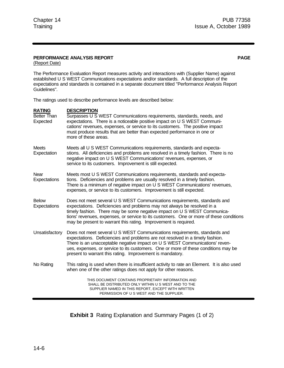#### **PERFORMANCE ANALYSIS REPORT PAGE**

(Report Date)

The Performance Evaluation Report measures activity and interactions with (Supplier Name) against established U S WEST Communications expectations and/or standards. A full description of the expectations and standards is contained in a separate document titled "Performance Analysis Report Guidelines".

The ratings used to describe performance levels are described below:

| <b>RATING</b><br><b>Better Than</b><br>Expected | <b>DESCRIPTION</b><br>Surpasses U S WEST Communications requirements, standards, needs, and<br>expectations. There is a noticeable positive impact on U S WEST Communi-<br>cations' revenues, expenses, or service to its customers. The positive impact<br>must produce results that are better than expected performance in one or<br>more of these areas.                                   |
|-------------------------------------------------|------------------------------------------------------------------------------------------------------------------------------------------------------------------------------------------------------------------------------------------------------------------------------------------------------------------------------------------------------------------------------------------------|
| <b>Meets</b><br>Expectation                     | Meets all U S WEST Communications requirements, standards and expecta-<br>stions. All deficiencies and problems are resolved in a timely fashion. There is no<br>negative impact on U S WEST Communications' revenues, expenses, or<br>service to its customers. Improvement is still expected.                                                                                                |
| Near<br>Expectations                            | Meets most U S WEST Communications requirements, standards and expecta-<br>tions. Deficiencies and problems are usually resolved in a timely fashion.<br>There is a minimum of negative impact on U S WEST Communications' revenues,<br>expenses, or service to its customers. Improvement is still expected.                                                                                  |
| <b>Below</b><br>Expectations                    | Does not meet several U S WEST Communications requirements, standards and<br>expectations. Deficiencies and problems may not always be resolved in a<br>timely fashion. There may be some negative impact on U S WEST Communica-<br>tions' revenues, expenses, or service to its customers. One or more of these conditions<br>may be present to warrant this rating. Improvement is required. |
| Unsatisfactory                                  | Does not meet several U S WEST Communications requirements, standards and<br>expectations. Deficiencies and problems are not resolved in a timely fashion.<br>There is an unacceptable negative impact on U S WEST Communications' reven-<br>ues, expenses, or service to its customers. One or more of these conditions may be<br>present to warrant this rating. Improvement is mandatory.   |
| No Rating                                       | This rating is used when there is insufficient activity to rate an Element. It is also used<br>when one of the other ratings does not apply for other reasons.                                                                                                                                                                                                                                 |
|                                                 | THIS DOCUMENT CONTAINS PROPRIETARY INFORMATION AND<br>SHALL BE DISTRIBUTED ONLY WITHIN U S WEST AND TO THE<br>SUPPLIER NAMED IN THIS REPORT, EXCEPT WITH WRITTEN<br>PERMISSION OF U S WEST AND THE SUPPLIER.                                                                                                                                                                                   |

**Exhibit 3** Rating Explanation and Summary Pages (1 of 2)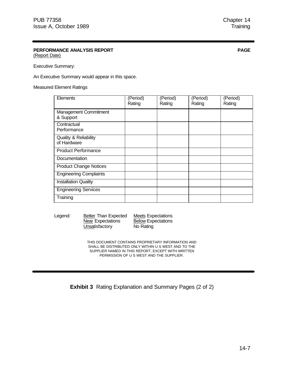# **PERFORMANCE ANALYSIS REPORT PAGE**

(Report Date)

Executive Summary:

An Executive Summary would appear in this space.

#### Measured Element Ratings

| Elements                                        | (Period)<br>Rating | (Period)<br>Rating | (Period)<br>Rating | (Period)<br>Rating |
|-------------------------------------------------|--------------------|--------------------|--------------------|--------------------|
| <b>Management Commitment</b><br>& Support       |                    |                    |                    |                    |
| Contractual<br>Performance                      |                    |                    |                    |                    |
| <b>Quality &amp; Reliability</b><br>of Hardware |                    |                    |                    |                    |
| <b>Product Performance</b>                      |                    |                    |                    |                    |
| Documentation                                   |                    |                    |                    |                    |
| <b>Product Change Notices</b>                   |                    |                    |                    |                    |
| <b>Engineering Complaints</b>                   |                    |                    |                    |                    |
| <b>Installation Quality</b>                     |                    |                    |                    |                    |
| <b>Engineering Services</b>                     |                    |                    |                    |                    |
| Training                                        |                    |                    |                    |                    |

Unsatisfactory No Rating

Legend: Better Than Expected Meets Expectations<br>Near Expectations Below Expectations **Below Expectations** 

> THIS DOCUMENT CONTAINS PROPRIETARY INFORMATION AND SHALL BE DISTRIBUTED ONLY WITHIN U S WEST AND TO THE SUPPLIER NAMED IN THIS REPORT, EXCEPT WITH WRITTEN PERMISSION OF U S WEST AND THE SUPPLIER.

**Exhibit 3** Rating Explanation and Summary Pages (2 of 2)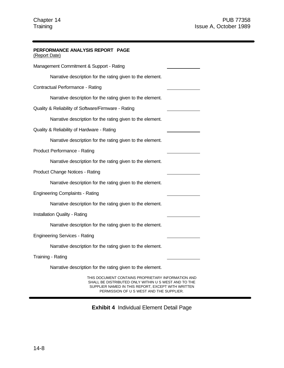| PERFORMANCE ANALYSIS REPORT PAGE<br>(Report Date)                                                                                                                                                            |  |  |  |
|--------------------------------------------------------------------------------------------------------------------------------------------------------------------------------------------------------------|--|--|--|
| Management Commitment & Support - Rating                                                                                                                                                                     |  |  |  |
| Narrative description for the rating given to the element.                                                                                                                                                   |  |  |  |
| Contractual Performance - Rating                                                                                                                                                                             |  |  |  |
| Narrative description for the rating given to the element.                                                                                                                                                   |  |  |  |
| Quality & Reliability of Software/Firmware - Rating                                                                                                                                                          |  |  |  |
| Narrative description for the rating given to the element.                                                                                                                                                   |  |  |  |
| Quality & Reliability of Hardware - Rating                                                                                                                                                                   |  |  |  |
| Narrative description for the rating given to the element.                                                                                                                                                   |  |  |  |
| Product Performance - Rating                                                                                                                                                                                 |  |  |  |
| Narrative description for the rating given to the element.                                                                                                                                                   |  |  |  |
| Product Change Notices - Rating                                                                                                                                                                              |  |  |  |
| Narrative description for the rating given to the element.                                                                                                                                                   |  |  |  |
| <b>Engineering Complaints - Rating</b>                                                                                                                                                                       |  |  |  |
| Narrative description for the rating given to the element.                                                                                                                                                   |  |  |  |
| <b>Installation Quality - Rating</b>                                                                                                                                                                         |  |  |  |
| Narrative description for the rating given to the element.                                                                                                                                                   |  |  |  |
| <b>Engineering Services - Rating</b>                                                                                                                                                                         |  |  |  |
| Narrative description for the rating given to the element.                                                                                                                                                   |  |  |  |
| Training - Rating                                                                                                                                                                                            |  |  |  |
| Narrative description for the rating given to the element.                                                                                                                                                   |  |  |  |
| THIS DOCUMENT CONTAINS PROPRIETARY INFORMATION AND<br>SHALL BE DISTRIBUTED ONLY WITHIN U S WEST AND TO THE<br>SUPPLIER NAMED IN THIS REPORT, EXCEPT WITH WRITTEN<br>PERMISSION OF U S WEST AND THE SUPPLIER. |  |  |  |

**Exhibit 4** Individual Element Detail Page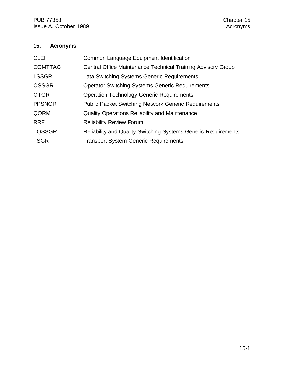# **15. Acronyms**

| <b>CLEI</b>    | Common Language Equipment Identification                              |
|----------------|-----------------------------------------------------------------------|
| <b>COMTTAG</b> | Central Office Maintenance Technical Training Advisory Group          |
| <b>LSSGR</b>   | Lata Switching Systems Generic Requirements                           |
| <b>OSSGR</b>   | <b>Operator Switching Systems Generic Requirements</b>                |
| <b>OTGR</b>    | <b>Operation Technology Generic Requirements</b>                      |
| <b>PPSNGR</b>  | <b>Public Packet Switching Network Generic Requirements</b>           |
| QORM           | <b>Quality Operations Reliability and Maintenance</b>                 |
| <b>RRF</b>     | <b>Reliability Review Forum</b>                                       |
| <b>TQSSGR</b>  | <b>Reliability and Quality Switching Systems Generic Requirements</b> |
| <b>TSGR</b>    | <b>Transport System Generic Requirements</b>                          |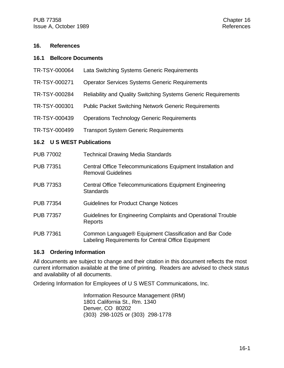#### **16. References**

#### **16.1 Bellcore Documents**

- TR-TSY-000064 Lata Switching Systems Generic Requirements
- TR-TSY-000271 Operator Services Systems Generic Requirements
- TR-TSY-000284 Reliability and Quality Switching Systems Generic Requirements
- TR-TSY-000301 Public Packet Switching Network Generic Requirements
- TR-TSY-000439 Operations Technology Generic Requirements
- TR-TSY-000499 Transport System Generic Requirements

#### **16.2 U S WEST Publications**

| <b>PUB 77002</b> | <b>Technical Drawing Media Standards</b>                                                                     |
|------------------|--------------------------------------------------------------------------------------------------------------|
| <b>PUB 77351</b> | Central Office Telecommunications Equipment Installation and<br><b>Removal Guidelines</b>                    |
| <b>PUB 77353</b> | <b>Central Office Telecommunications Equipment Engineering</b><br><b>Standards</b>                           |
| <b>PUB 77354</b> | Guidelines for Product Change Notices                                                                        |
| <b>PUB 77357</b> | Guidelines for Engineering Complaints and Operational Trouble<br>Reports                                     |
| <b>PUB 77361</b> | Common Language® Equipment Classification and Bar Code<br>Labeling Requirements for Central Office Equipment |

#### **16.3 Ordering Information**

All documents are subject to change and their citation in this document reflects the most current information available at the time of printing. Readers are advised to check status and availability of all documents.

Ordering Information for Employees of U S WEST Communications, Inc.

Information Resource Management (IRM) 1801 California St., Rm. 1340 Denver, CO 80202 (303) 298-1025 or (303) 298-1778